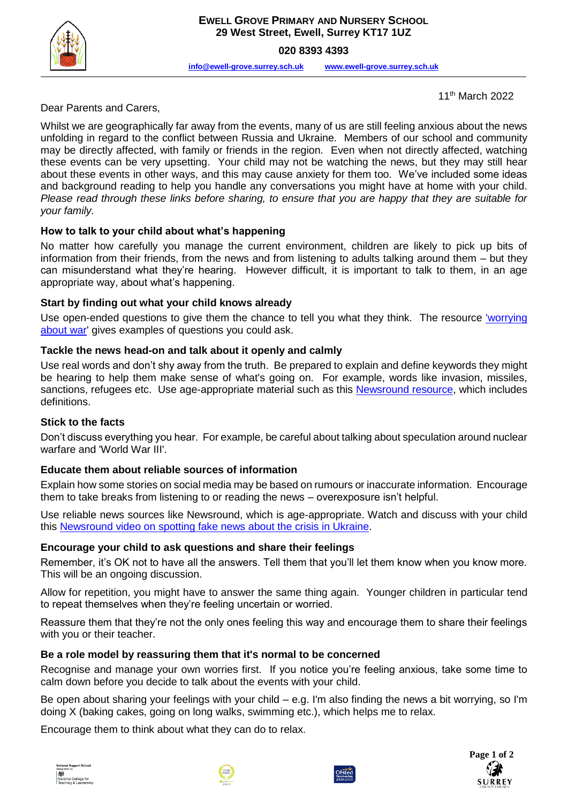

**020 8393 4393**

**[info@ewell-grove.surrey.sch.uk](mailto:info@ewell-grove.surrey.sch.uk) [www.ewell-grove.surrey.sch.uk](http://www.ewell-grove.surrey.sch.uk/)**

11th March 2022

Dear Parents and Carers,

Whilst we are geographically far away from the events, many of us are still feeling anxious about the news unfolding in regard to the conflict between Russia and Ukraine. Members of our school and community may be directly affected, with family or friends in the region. Even when not directly affected, watching these events can be very upsetting. Your child may not be watching the news, but they may still hear about these events in other ways, and this may cause anxiety for them too. We've included some ideas and background reading to help you handle any conversations you might have at home with your child. *Please read through these links before sharing, to ensure that you are happy that they are suitable for your family.*

### **How to talk to your child about what's happening**

No matter how carefully you manage the current environment, children are likely to pick up bits of information from their friends, from the news and from listening to adults talking around them – but they can misunderstand what they're hearing. However difficult, it is important to talk to them, in an age appropriate way, about what's happening.

#### **Start by finding out what your child knows already**

Use open-ended questions to give them the chance to tell you what they think. The resource 'worrying [about war'](https://www.phoenixgrouphq.com/tools) gives examples of questions you could ask.

### **Tackle the news head-on and talk about it openly and calmly**

Use real words and don't shy away from the truth. Be prepared to explain and define keywords they might be hearing to help them make sense of what's going on. For example, words like invasion, missiles, sanctions, refugees etc. Use age-appropriate material such as this [Newsround resource,](https://www.bbc.co.uk/newsround/60536983) which includes definitions.

#### **Stick to the facts**

Don't discuss everything you hear. For example, be careful about talking about speculation around nuclear warfare and 'World War III'.

#### **Educate them about reliable sources of information**

Explain how some stories on social media may be based on rumours or inaccurate information. Encourage them to take breaks from listening to or reading the news – overexposure isn't helpful.

Use reliable news sources like Newsround, which is age-appropriate. Watch and discuss with your child this [Newsround video on spotting fake news about the crisis in Ukraine.](https://www.bbc.co.uk/newsround/60568631)

#### **Encourage your child to ask questions and share their feelings**

Remember, it's OK not to have all the answers. Tell them that you'll let them know when you know more. This will be an ongoing discussion.

Allow for repetition, you might have to answer the same thing again. Younger children in particular tend to repeat themselves when they're feeling uncertain or worried.

Reassure them that they're not the only ones feeling this way and encourage them to share their feelings with you or their teacher.

#### **Be a role model by reassuring them that it's normal to be concerned**

Recognise and manage your own worries first. If you notice you're feeling anxious, take some time to calm down before you decide to talk about the events with your child.

Be open about sharing your feelings with your child – e.g. I'm also finding the news a bit worrying, so I'm doing X (baking cakes, going on long walks, swimming etc.), which helps me to relax.

Encourage them to think about what they can do to relax.